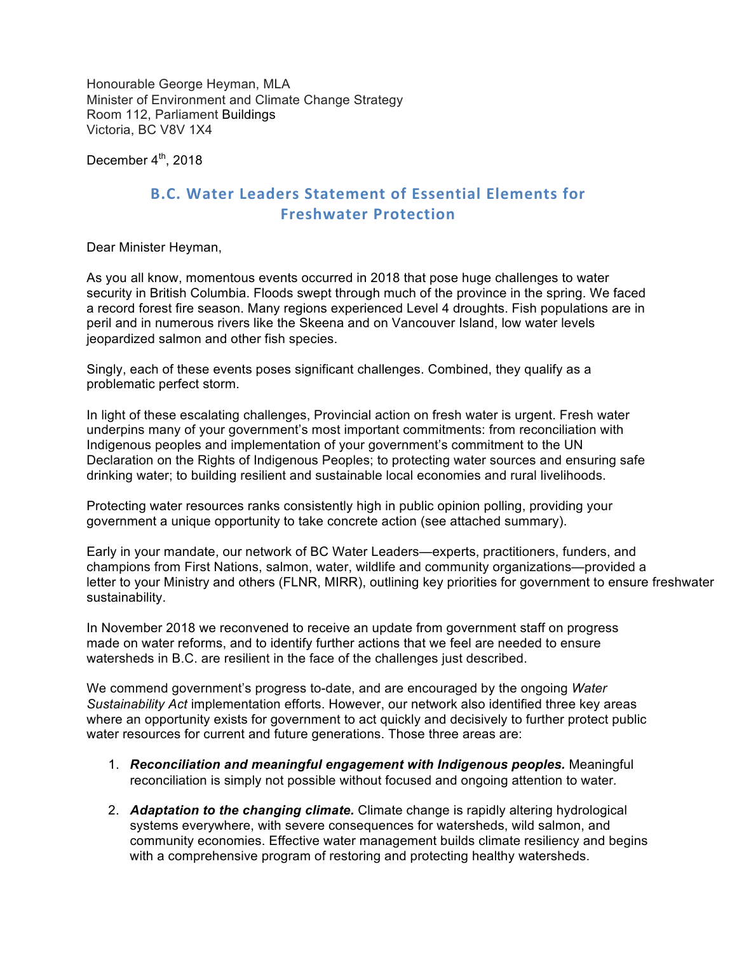Honourable George Heyman, MLA Minister of Environment and Climate Change Strategy Room 112, Parliament Buildings Victoria, BC V8V 1X4

December  $4<sup>th</sup>$ , 2018

# **B.C. Water Leaders Statement of Essential Elements for Freshwater Protection**

Dear Minister Heyman,

As you all know, momentous events occurred in 2018 that pose huge challenges to water security in British Columbia. Floods swept through much of the province in the spring. We faced a record forest fire season. Many regions experienced Level 4 droughts. Fish populations are in peril and in numerous rivers like the Skeena and on Vancouver Island, low water levels jeopardized salmon and other fish species.

Singly, each of these events poses significant challenges. Combined, they qualify as a problematic perfect storm.

In light of these escalating challenges, Provincial action on fresh water is urgent. Fresh water underpins many of your government's most important commitments: from reconciliation with Indigenous peoples and implementation of your government's commitment to the UN Declaration on the Rights of Indigenous Peoples; to protecting water sources and ensuring safe drinking water; to building resilient and sustainable local economies and rural livelihoods.

Protecting water resources ranks consistently high in public opinion polling, providing your government a unique opportunity to take concrete action (see attached summary).

Early in your mandate, our network of BC Water Leaders—experts, practitioners, funders, and champions from First Nations, salmon, water, wildlife and community organizations—provided a letter to your Ministry and others (FLNR, MIRR), outlining key priorities for government to ensure freshwater sustainability.

In November 2018 we reconvened to receive an update from government staff on progress made on water reforms, and to identify further actions that we feel are needed to ensure watersheds in B.C. are resilient in the face of the challenges just described.

We commend government's progress to-date, and are encouraged by the ongoing *Water Sustainability Act* implementation efforts. However, our network also identified three key areas where an opportunity exists for government to act quickly and decisively to further protect public water resources for current and future generations. Those three areas are:

- 1. *Reconciliation and meaningful engagement with Indigenous peoples.* Meaningful reconciliation is simply not possible without focused and ongoing attention to water*.*
- 2. *Adaptation to the changing climate.* Climate change is rapidly altering hydrological systems everywhere, with severe consequences for watersheds, wild salmon, and community economies. Effective water management builds climate resiliency and begins with a comprehensive program of restoring and protecting healthy watersheds.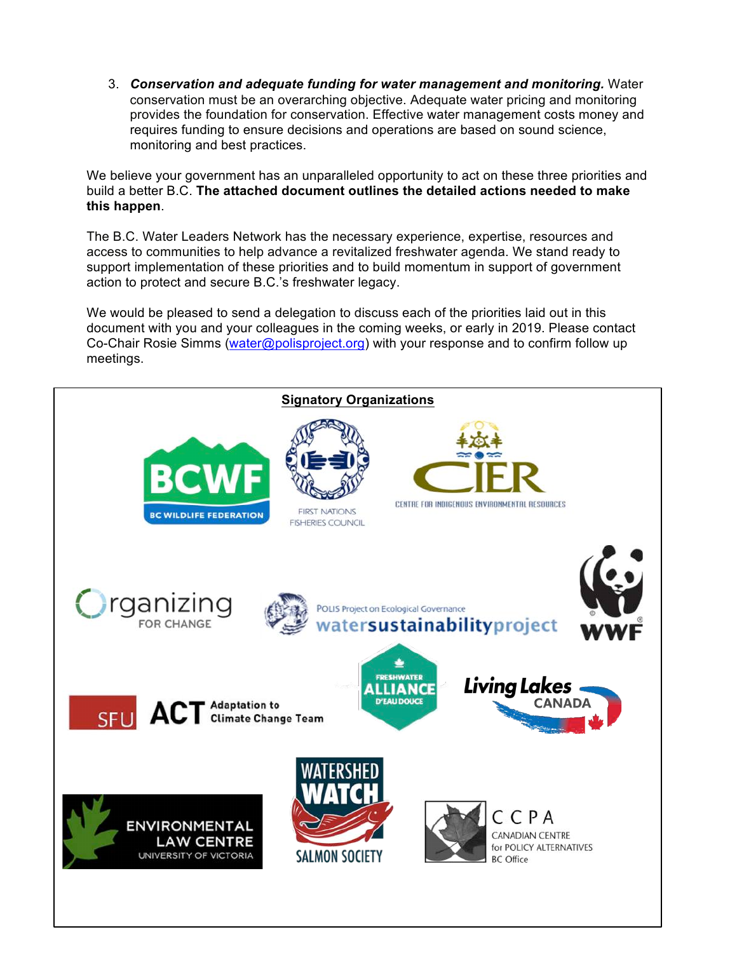3. *Conservation and adequate funding for water management and monitoring.* Water conservation must be an overarching objective. Adequate water pricing and monitoring provides the foundation for conservation. Effective water management costs money and requires funding to ensure decisions and operations are based on sound science, monitoring and best practices.

We believe your government has an unparalleled opportunity to act on these three priorities and build a better B.C. **The attached document outlines the detailed actions needed to make this happen**.

The B.C. Water Leaders Network has the necessary experience, expertise, resources and access to communities to help advance a revitalized freshwater agenda. We stand ready to support implementation of these priorities and to build momentum in support of government action to protect and secure B.C.'s freshwater legacy.

We would be pleased to send a delegation to discuss each of the priorities laid out in this document with you and your colleagues in the coming weeks, or early in 2019. Please contact Co-Chair Rosie Simms (water@polisproject.org) with your response and to confirm follow up meetings.

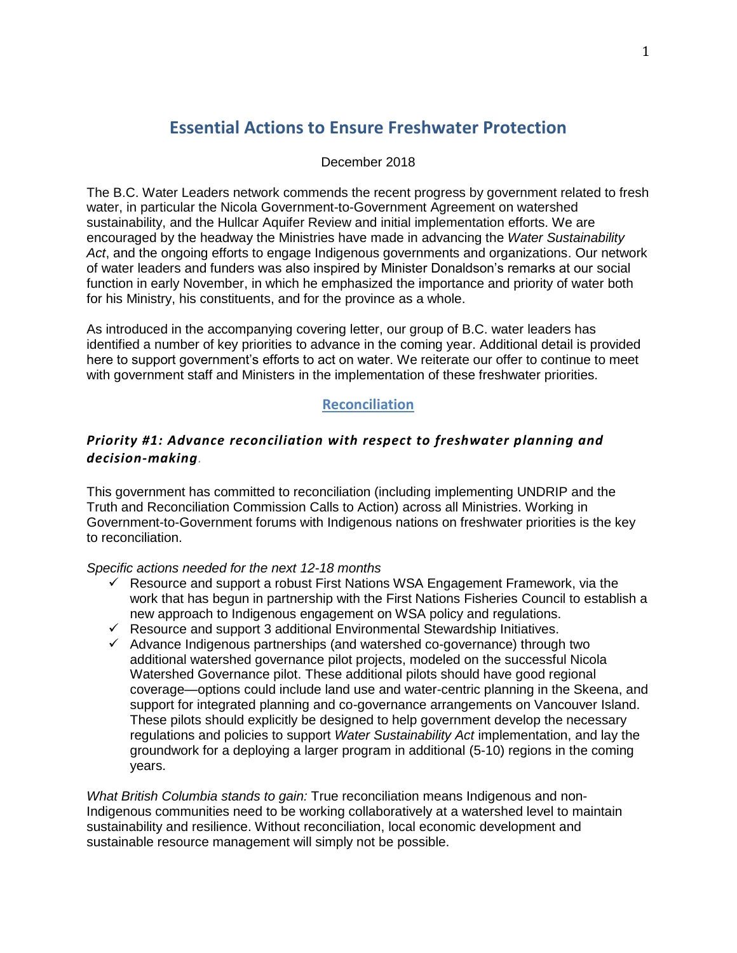# **Essential Actions to Ensure Freshwater Protection**

#### December 2018

The B.C. Water Leaders network commends the recent progress by government related to fresh water, in particular the Nicola Government-to-Government Agreement on watershed sustainability, and the Hullcar Aquifer Review and initial implementation efforts. We are encouraged by the headway the Ministries have made in advancing the *Water Sustainability Act*, and the ongoing efforts to engage Indigenous governments and organizations. Our network of water leaders and funders was also inspired by Minister Donaldson's remarks at our social function in early November, in which he emphasized the importance and priority of water both for his Ministry, his constituents, and for the province as a whole.

As introduced in the accompanying covering letter, our group of B.C. water leaders has identified a number of key priorities to advance in the coming year. Additional detail is provided here to support government's efforts to act on water. We reiterate our offer to continue to meet with government staff and Ministers in the implementation of these freshwater priorities.

## **Reconciliation**

# *Priority #1: Advance reconciliation with respect to freshwater planning and decision-making.*

This government has committed to reconciliation (including implementing UNDRIP and the Truth and Reconciliation Commission Calls to Action) across all Ministries. Working in Government-to-Government forums with Indigenous nations on freshwater priorities is the key to reconciliation.

#### *Specific actions needed for the next 12-18 months*

- $\checkmark$  Resource and support a robust First Nations WSA Engagement Framework, via the work that has begun in partnership with the First Nations Fisheries Council to establish a new approach to Indigenous engagement on WSA policy and regulations.
- $\checkmark$  Resource and support 3 additional Environmental Stewardship Initiatives.
- $\checkmark$  Advance Indigenous partnerships (and watershed co-governance) through two additional watershed governance pilot projects, modeled on the successful Nicola Watershed Governance pilot. These additional pilots should have good regional coverage—options could include land use and water-centric planning in the Skeena, and support for integrated planning and co-governance arrangements on Vancouver Island. These pilots should explicitly be designed to help government develop the necessary regulations and policies to support *Water Sustainability Act* implementation, and lay the groundwork for a deploying a larger program in additional (5-10) regions in the coming years.

*What British Columbia stands to gain:* True reconciliation means Indigenous and non-Indigenous communities need to be working collaboratively at a watershed level to maintain sustainability and resilience. Without reconciliation, local economic development and sustainable resource management will simply not be possible.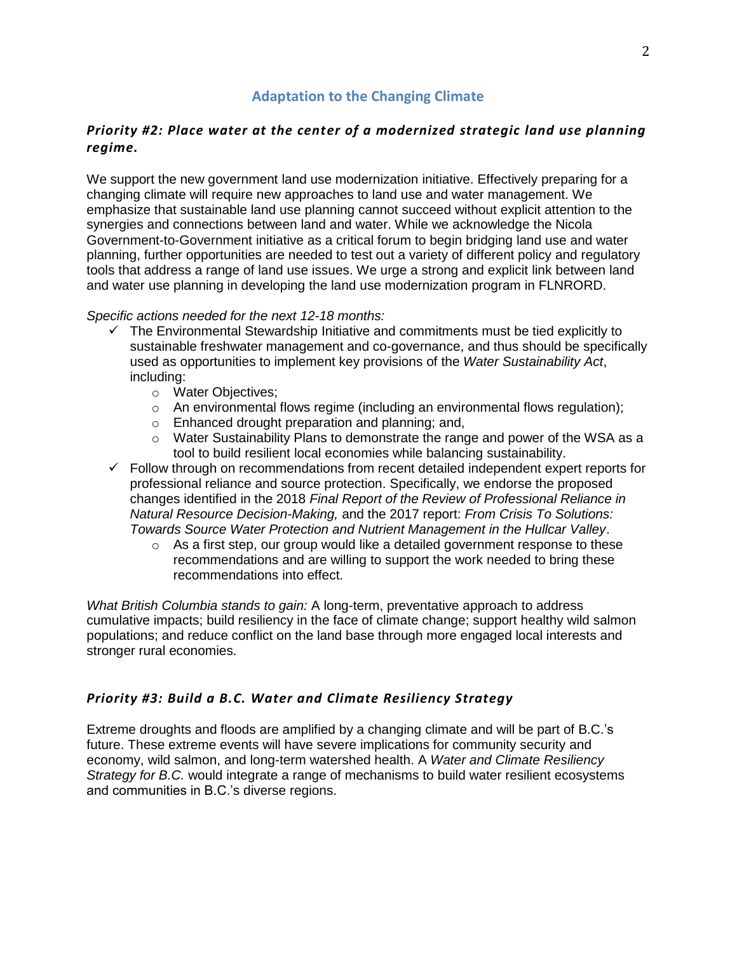# **Adaptation to the Changing Climate**

# *Priority #2: Place water at the center of a modernized strategic land use planning regime.*

We support the new government land use modernization initiative. Effectively preparing for a changing climate will require new approaches to land use and water management. We emphasize that sustainable land use planning cannot succeed without explicit attention to the synergies and connections between land and water. While we acknowledge the Nicola Government-to-Government initiative as a critical forum to begin bridging land use and water planning, further opportunities are needed to test out a variety of different policy and regulatory tools that address a range of land use issues. We urge a strong and explicit link between land and water use planning in developing the land use modernization program in FLNRORD.

#### *Specific actions needed for the next 12-18 months:*

- $\checkmark$  The Environmental Stewardship Initiative and commitments must be tied explicitly to sustainable freshwater management and co-governance, and thus should be specifically used as opportunities to implement key provisions of the *Water Sustainability Act*, including:
	- o Water Objectives;
	- $\circ$  An environmental flows regime (including an environmental flows regulation);
	- o Enhanced drought preparation and planning; and,
	- $\circ$  Water Sustainability Plans to demonstrate the range and power of the WSA as a tool to build resilient local economies while balancing sustainability.
- $\checkmark$  Follow through on recommendations from recent detailed independent expert reports for professional reliance and source protection. Specifically, we endorse the proposed changes identified in the 2018 *Final Report of the Review of Professional Reliance in Natural Resource Decision-Making,* and the 2017 report: *From Crisis To Solutions: Towards Source Water Protection and Nutrient Management in the Hullcar Valley*.
	- $\circ$  As a first step, our group would like a detailed government response to these recommendations and are willing to support the work needed to bring these recommendations into effect.

*What British Columbia stands to gain:* A long-term, preventative approach to address cumulative impacts; build resiliency in the face of climate change; support healthy wild salmon populations; and reduce conflict on the land base through more engaged local interests and stronger rural economies.

#### *Priority #3: Build a B.C. Water and Climate Resiliency Strategy*

Extreme droughts and floods are amplified by a changing climate and will be part of B.C.'s future. These extreme events will have severe implications for community security and economy, wild salmon, and long-term watershed health. A *Water and Climate Resiliency Strategy for B.C.* would integrate a range of mechanisms to build water resilient ecosystems and communities in B.C.'s diverse regions.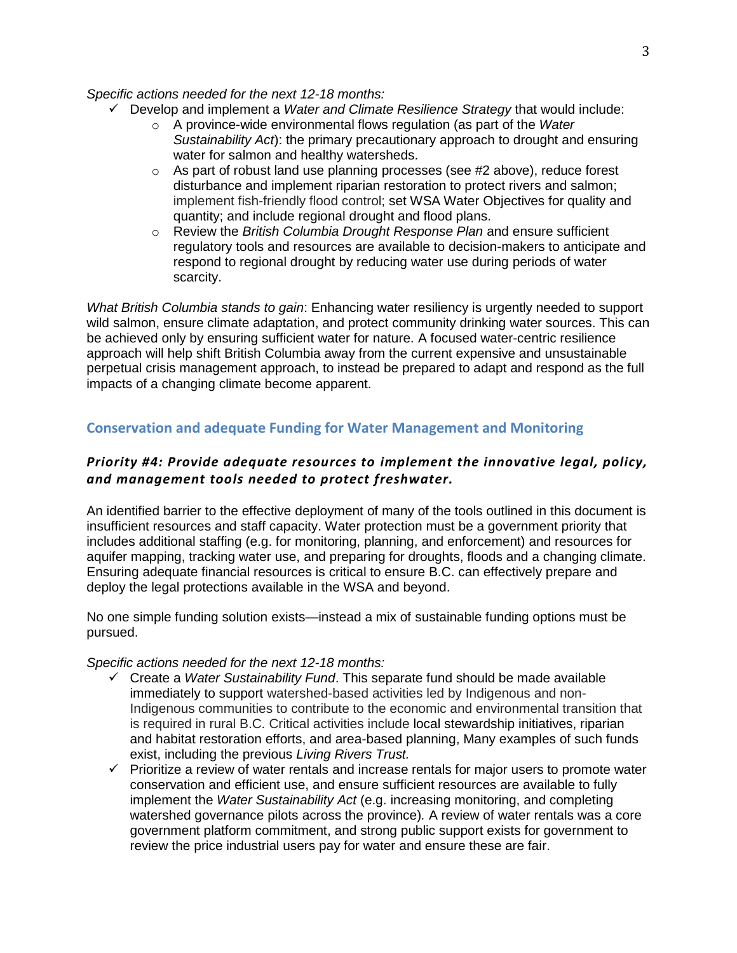*Specific actions needed for the next 12-18 months:*

- Develop and implement a *Water and Climate Resilience Strategy* that would include:
	- o A province-wide environmental flows regulation (as part of the *Water Sustainability Act*): the primary precautionary approach to drought and ensuring water for salmon and healthy watersheds.
	- $\circ$  As part of robust land use planning processes (see #2 above), reduce forest disturbance and implement riparian restoration to protect rivers and salmon; implement fish-friendly flood control; set WSA Water Objectives for quality and quantity; and include regional drought and flood plans.
	- o Review the *British Columbia Drought Response Plan* and ensure sufficient regulatory tools and resources are available to decision-makers to anticipate and respond to regional drought by reducing water use during periods of water scarcity.

*What British Columbia stands to gain*: Enhancing water resiliency is urgently needed to support wild salmon, ensure climate adaptation, and protect community drinking water sources. This can be achieved only by ensuring sufficient water for nature. A focused water-centric resilience approach will help shift British Columbia away from the current expensive and unsustainable perpetual crisis management approach, to instead be prepared to adapt and respond as the full impacts of a changing climate become apparent.

## **Conservation and adequate Funding for Water Management and Monitoring**

#### *Priority #4: Provide adequate resources to implement the innovative legal, policy, and management tools needed to protect freshwater.*

An identified barrier to the effective deployment of many of the tools outlined in this document is insufficient resources and staff capacity. Water protection must be a government priority that includes additional staffing (e.g. for monitoring, planning, and enforcement) and resources for aquifer mapping, tracking water use, and preparing for droughts, floods and a changing climate. Ensuring adequate financial resources is critical to ensure B.C. can effectively prepare and deploy the legal protections available in the WSA and beyond.

No one simple funding solution exists—instead a mix of sustainable funding options must be pursued.

*Specific actions needed for the next 12-18 months:*

- Create a *Water Sustainability Fund*. This separate fund should be made available immediately to support watershed-based activities led by Indigenous and non-Indigenous communities to contribute to the economic and environmental transition that is required in rural B.C. Critical activities include local stewardship initiatives, riparian and habitat restoration efforts, and area-based planning, Many examples of such funds exist, including the previous *Living Rivers Trust.*
- $\checkmark$  Prioritize a review of water rentals and increase rentals for major users to promote water conservation and efficient use, and ensure sufficient resources are available to fully implement the *Water Sustainability Act* (e.g. increasing monitoring, and completing watershed governance pilots across the province)*.* A review of water rentals was a core government platform commitment, and strong public support exists for government to review the price industrial users pay for water and ensure these are fair.